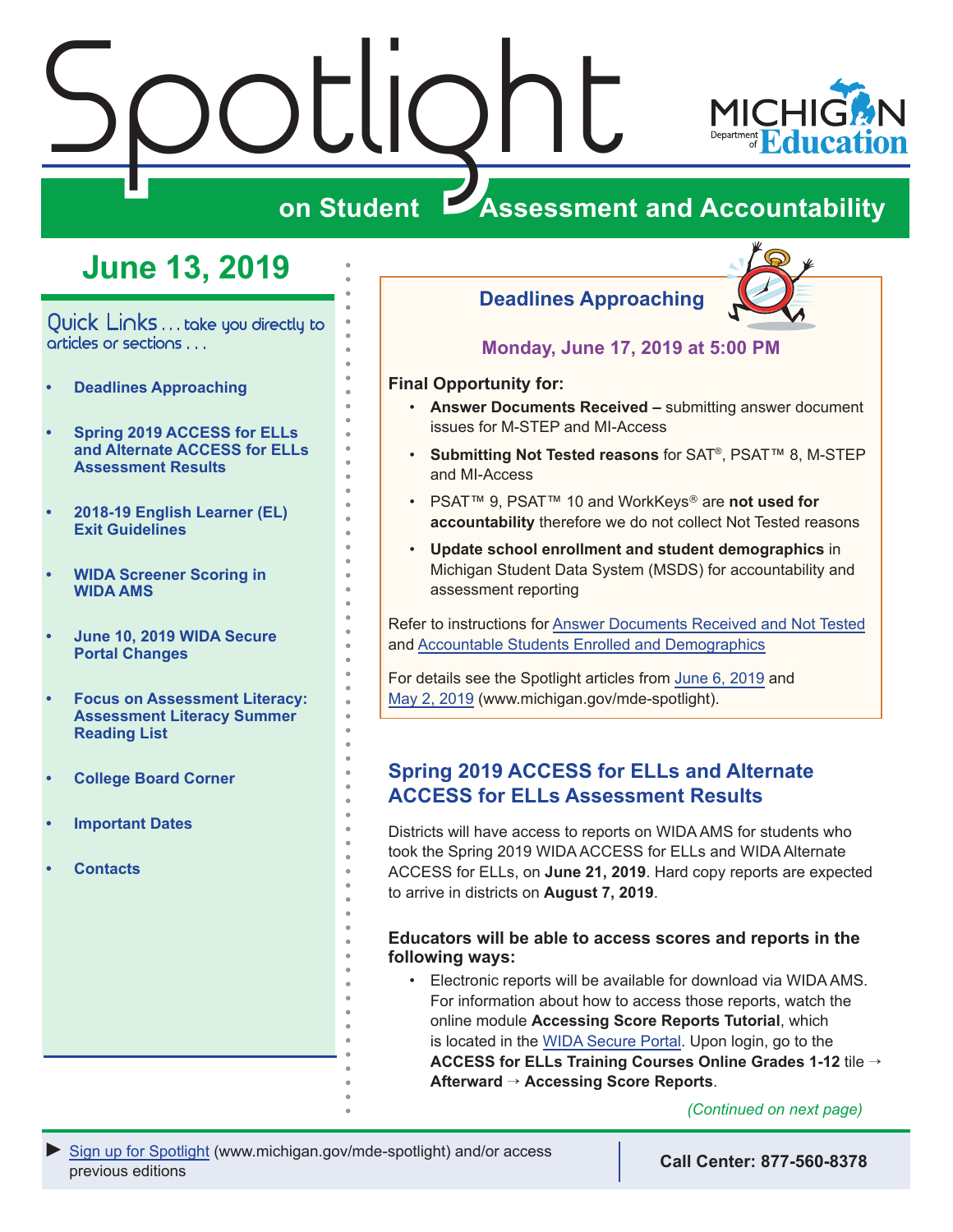# <span id="page-0-0"></span>Spotlight



## **on Student Assessment and Accountability**

## **June 13, 2019**

Quick Links . . . take you directly to articles or sections . . .

- **• Deadlines Approaching**
- **• Spring 2019 ACCESS for ELLs and Alternate ACCESS for ELLs Assessment Results**
- **• [2018-19 English Learner \(EL\)](#page-1-0)  [Exit Guidelines](#page-1-0)**
- **• [WIDA Screener Scoring in](#page-1-0)  [WIDA AMS](#page-1-0)**
- **• [June 10, 2019 WIDA Secure](#page-1-0)  [Portal Changes](#page-1-0)**
- **• Focus on Assessment Literacy: [Assessment Literacy Summer](#page-2-0)  [Reading List](#page-2-0)**
- **• [College Board Corner](#page-3-0)**
- **• [Important Dates](#page-4-0)**
- **• [Contacts](#page-5-0)**

#### **Deadlines Approaching**



**Monday, June 17, 2019 at 5:00 PM**

#### **Final Opportunity for:**

- **Answer Documents Received** submitting answer document issues for M-STEP and MI-Access
- **Submitting Not Tested reasons** for SAT®, PSAT™ 8, M-STEP and MI-Access
- PSAT™ 9, PSAT™ 10 and WorkKeys® are **not used for accountability** therefore we do not collect Not Tested reasons
- **Update school enrollment and student demographics** in Michigan Student Data System (MSDS) for accountability and assessment reporting

Refer to instructions for [Answer Documents Received and Not Tested](https://www.michigan.gov/documents/mde/Answer_Documents_Received_and_Not_Tested_Students_instructions_623116_7.pdf) and [Accountable Students Enrolled and Demographics](https://www.michigan.gov/documents/mde/Accountable_Students_Enrolled_and_Demographics_621314_7.pdf)

For details see the Spotlight articles from [June 6, 2019](https://www.michigan.gov/documents/mde/Spotlight_6-06-19_657234_7.pdf) and [May 2, 2019](https://www.michigan.gov/documents/mde/Spotlight_5-2-19_654086_7.pdf) (www.michigan.gov/mde-spotlight).

#### **Spring 2019 ACCESS for ELLs and Alternate ACCESS for ELLs Assessment Results**

Districts will have access to reports on WIDA AMS for students who took the Spring 2019 WIDA ACCESS for ELLs and WIDA Alternate ACCESS for ELLs, on **June 21, 2019**. Hard copy reports are expected to arrive in districts on **August 7, 2019**.

#### **Educators will be able to access scores and reports in the following ways:**

• Electronic reports will be available for download via WIDA AMS. For information about how to access those reports, watch the online module **Accessing Score Reports Tutorial**, which is located in the [WIDA Secure Portal.](https://portal.wida.us/Resources/Assessment/ACCESS/Online-Paper/Accessing-Score-Reports-Module/presentation_html5.html) Upon login, go to the **ACCESS for ELLs Training Courses Online Grades 1-12** tile → **Afterward** → **Accessing Score Reports**.

*(Continued on next page)*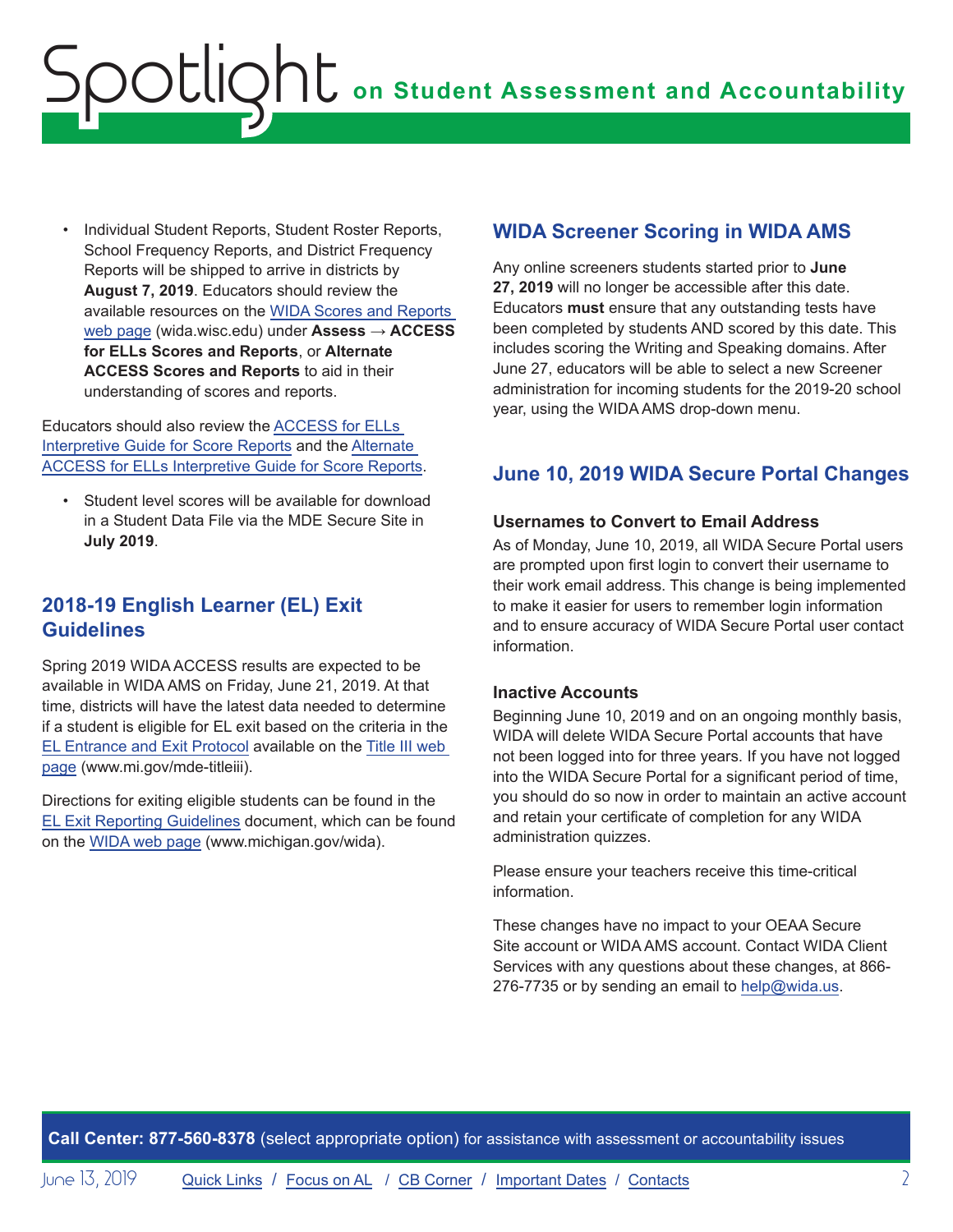<span id="page-1-0"></span>• Individual Student Reports, Student Roster Reports, School Frequency Reports, and District Frequency Reports will be shipped to arrive in districts by **August 7, 2019**. Educators should review the available resources on the [WIDA Scores and Reports](https://wida.wisc.edu/assess/access/scores-reports)  [web page](https://wida.wisc.edu/assess/access/scores-reports) (wida.wisc.edu) under **Assess** → **ACCESS for ELLs Scores and Reports**, or **Alternate ACCESS Scores and Reports** to aid in their understanding of scores and reports.

Educators should also review the [ACCESS for ELLs](https://wida.wisc.edu/sites/default/files/resource/Interpretive-Guide.pdf)  [Interpretive Guide for Score Reports](https://wida.wisc.edu/sites/default/files/resource/Interpretive-Guide.pdf) and the [Alternate](https://wida.wisc.edu/sites/default/files/resource/Alt-Interpretive-Guide.pdf)  [ACCESS for ELLs Interpretive Guide for Score Reports.](https://wida.wisc.edu/sites/default/files/resource/Alt-Interpretive-Guide.pdf)

• Student level scores will be available for download in a Student Data File via the MDE Secure Site in **July 2019**.

#### **2018-19 English Learner (EL) Exit Guidelines**

Spring 2019 WIDA ACCESS results are expected to be available in WIDA AMS on Friday, June 21, 2019. At that time, districts will have the latest data needed to determine if a student is eligible for EL exit based on the criteria in the [EL Entrance and Exit Protocol](https://www.michigan.gov/documents/mde/Entrance_and_Exit_Protocol_updated_May_2016_550634_7.pdf) available on the [Title III web](http://www.mi.gov/mde-titleiii)  [page](http://www.mi.gov/mde-titleiii) (www.mi.gov/mde-titleiii).

Directions for exiting eligible students can be found in the [EL Exit Reporting Guidelines](https://www.michigan.gov/documents/mde/18-19_EL_Exit_Reporting_Guidelines_657839_7.pdf) document, which can be found on the [WIDA web page](www.michigan.gov/wida) (www.michigan.gov/wida).

#### **WIDA Screener Scoring in WIDA AMS**

Any online screeners students started prior to **June 27, 2019** will no longer be accessible after this date. Educators **must** ensure that any outstanding tests have been completed by students AND scored by this date. This includes scoring the Writing and Speaking domains. After June 27, educators will be able to select a new Screener administration for incoming students for the 2019-20 school year, using the WIDA AMS drop-down menu.

#### **June 10, 2019 WIDA Secure Portal Changes**

#### **Usernames to Convert to Email Address**

As of Monday, June 10, 2019, all WIDA Secure Portal users are prompted upon first login to convert their username to their work email address. This change is being implemented to make it easier for users to remember login information and to ensure accuracy of WIDA Secure Portal user contact information.

#### **Inactive Accounts**

Beginning June 10, 2019 and on an ongoing monthly basis, WIDA will delete WIDA Secure Portal accounts that have not been logged into for three years. If you have not logged into the WIDA Secure Portal for a significant period of time, you should do so now in order to maintain an active account and retain your certificate of completion for any WIDA administration quizzes.

Please ensure your teachers receive this time-critical information.

These changes have no impact to your OEAA Secure Site account or WIDA AMS account. Contact WIDA Client Services with any questions about these changes, at 866 276-7735 or by sending an email to [help@wida.us](mailto:help%40wida.us?subject=).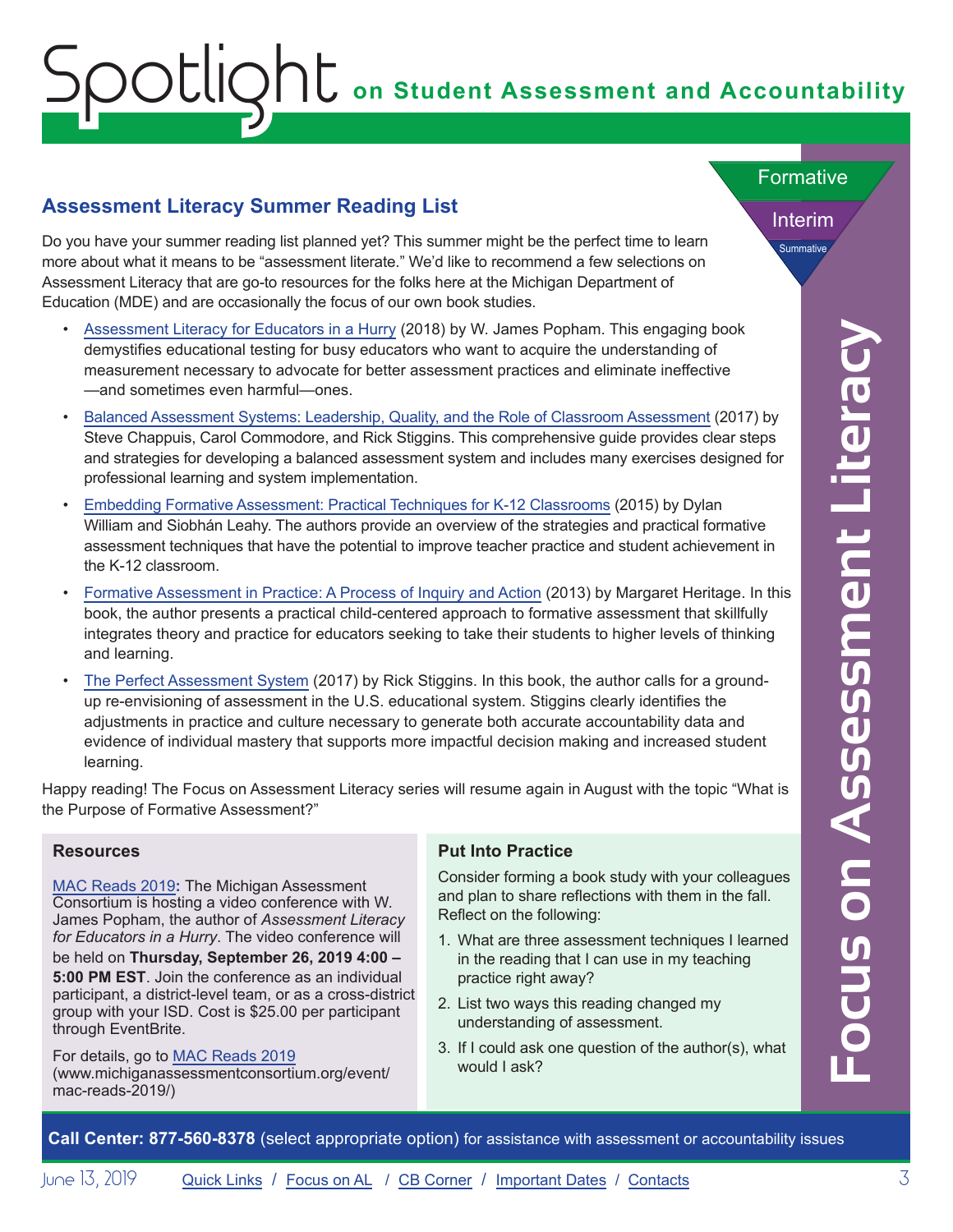# <span id="page-2-0"></span>**on Student Assessment and Accountability** Spotlight

#### **Assessment Literacy Summer Reading List**

Do you have your summer reading list planned yet? This summer might be the perfect time to learn more about what it means to be "assessment literate." We'd like to recommend a few selections on Assessment Literacy that are go-to resources for the folks here at the Michigan Department of Education (MDE) and are occasionally the focus of our own book studies.

- [Assessment Literacy for Educators in a Hurry](https://www.amazon.com/Assessment-Literacy-Educators-Hurry-Popham/dp/1416626484/ref=sr_1_1?keywords=Assessment+literacy+in+a+hurry&qid=1559751237&s=books&sr=1-1) (2018) by W. James Popham. This engaging book demystifies educational testing for busy educators who want to acquire the understanding of measurement necessary to advocate for better assessment practices and eliminate ineffective —and sometimes even harmful—ones.
- [Balanced Assessment Systems: Leadership, Quality, and the Role of Classroom Assessment](https://www.amazon.com/s?k=%E2%80%A2+Balanced+Assessment+Systems%3A+Leadership%2C+Quality%2C+and+the+Role+of+Classroom+Assessment&ref=nb_sb_noss) (2017) by Steve Chappuis, Carol Commodore, and Rick Stiggins. This comprehensive guide provides clear steps and strategies for developing a balanced assessment system and includes many exercises designed for professional learning and system implementation.
- [Embedding Formative Assessment: Practical Techniques for K-12 Classrooms](https://www.amazon.com/Embedding-Formative-Assessment-Techniques-Classrooms/dp/1941112293/ref=pd_cp_14_1?pd_rd_w=0fwiD&pf_rd_p=ef4dc990-a9ca-4945-ae0b-f8d549198ed6&pf_rd_r=9DN5HDFESE8MWCHV1H15&pd_rd_r=4085c80b-87aa-11e9-9655-6126118ea94e&pd_rd_wg=Gh1v1&pd_rd_i=1941112293&psc=1&refRID=9DN5HDFESE8MWCHV1H15) (2015) by Dylan William and Siobhán Leahy. The authors provide an overview of the strategies and practical formative assessment techniques that have the potential to improve teacher practice and student achievement in the K-12 classroom.
- [Formative Assessment in Practice: A Process of Inquiry and Action](https://www.amazon.com/Formative-Assessment-Practice-Accountability-Achievement/dp/1612505511/ref=sr_1_1?keywords=%E2%80%A2+Formative+Assessment+in+Practice%3A+A+Process+of+Inquiry+and+Action&qid=1559755489&s=books&sr=1-1) (2013) by Margaret Heritage. In this book, the author presents a practical child-centered approach to formative assessment that skillfully integrates theory and practice for educators seeking to take their students to higher levels of thinking and learning.
- Considered the matrix in the matrix of a following in the High (2013) by V. Jumma Focus and center assessment practice assessment practice assessment practice assessment practice assessment practice assessment profile an • [The Perfect Assessment System](https://www.amazon.com/Perfect-Assessment-System-Rick-Stiggins/dp/1416623817/ref=sr_1_1?crid=25PJR4REN1NEQ&keywords=the+perfect+assessment+system&qid=1559756356&s=books&sprefix=%E2%80%A2The+Perfect+Assess%2Cstripbooks%2C294&sr=1-1) (2017) by Rick Stiggins. In this book, the author calls for a groundup re-envisioning of assessment in the U.S. educational system. Stiggins clearly identifies the adjustments in practice and culture necessary to generate both accurate accountability data and evidence of individual mastery that supports more impactful decision making and increased student learning.

Happy reading! The Focus on Assessment Literacy series will resume again in August with the topic "What is the Purpose of Formative Assessment?"

#### **Resources**

[MAC Reads 2019](http://www.michiganassessmentconsortium.org/event/mac-reads-2019)**:** The Michigan Assessment Consortium is hosting a video conference with W. James Popham, the author of *Assessment Literacy for Educators in a Hurry*. The video conference will be held on **Thursday, September 26, 2019 4:00 –** 

**5:00 PM EST**. Join the conference as an individual participant, a district-level team, or as a cross-district group with your ISD. Cost is \$25.00 per participant through EventBrite.

For details, go to [MAC Reads 2019](https://www.michiganassessmentconsortium.org/event/mac-reads-2019/) (www.michiganassessmentconsortium.org/event/ mac-reads-2019/)

#### **Put Into Practice**

Consider forming a book study with your colleagues and plan to share reflections with them in the fall. Reflect on the following:

- 1. What are three assessment techniques I learned in the reading that I can use in my teaching practice right away?
- 2. List two ways this reading changed my understanding of assessment.
- 3. If I could ask one question of the author(s), what would I ask?

Interim

**Summative** 

Formative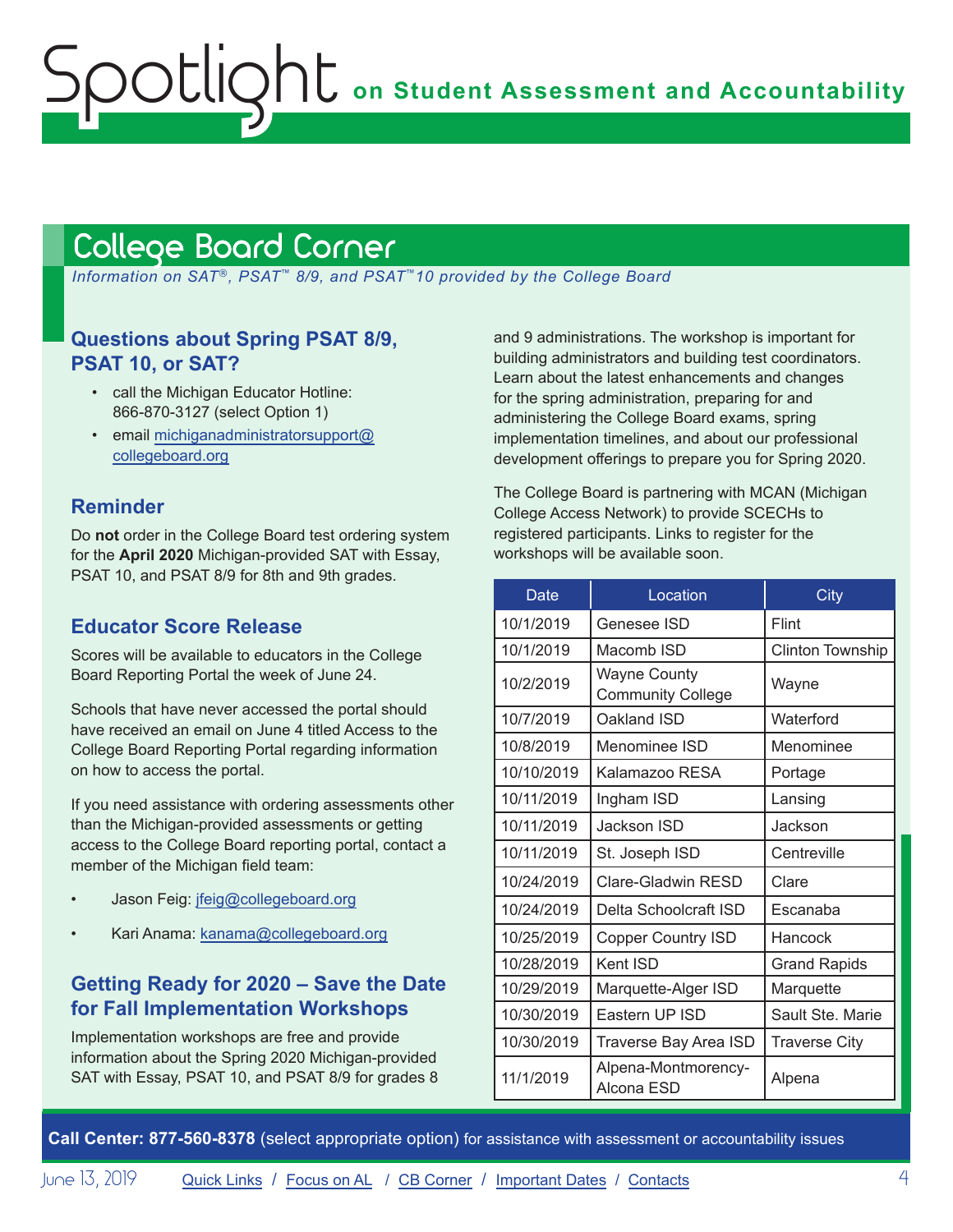## <span id="page-3-1"></span><span id="page-3-0"></span>College Board Corner

 *Information on SAT*®*, PSAT*™ *8/9, and PSAT*™*10 provided by the College Board*

#### **Questions about Spring PSAT 8/9, PSAT 10, or SAT?**

- call the Michigan Educator Hotline: 866-870-3127 (select Option 1)
- email [michiganadministratorsupport@](mailto:michiganadministratorsupport%40collegeboard.org?subject=) [collegeboard.org](mailto:michiganadministratorsupport%40collegeboard.org?subject=)

#### **Reminder**

Do **not** order in the College Board test ordering system for the **April 2020** Michigan-provided SAT with Essay, PSAT 10, and PSAT 8/9 for 8th and 9th grades.

#### **Educator Score Release**

Scores will be available to educators in the College Board Reporting Portal the week of June 24.

Schools that have never accessed the portal should have received an email on June 4 titled Access to the College Board Reporting Portal regarding information on how to access the portal.

If you need assistance with ordering assessments other than the Michigan-provided assessments or getting access to the College Board reporting portal, contact a member of the Michigan field team:

- Jason Feig: [jfeig@collegeboard.org](mailto:jfeig%40collegeboard.org?subject=)
- Kari Anama: [kanama@collegeboard.org](mailto:kanama%40collegeboard.org?subject=)

#### **Getting Ready for 2020 – Save the Date for Fall Implementation Workshops**

Implementation workshops are free and provide information about the Spring 2020 Michigan-provided SAT with Essay, PSAT 10, and PSAT 8/9 for grades 8 and 9 administrations. The workshop is important for building administrators and building test coordinators. Learn about the latest enhancements and changes for the spring administration, preparing for and administering the College Board exams, spring implementation timelines, and about our professional development offerings to prepare you for Spring 2020.

The College Board is partnering with MCAN (Michigan College Access Network) to provide SCECHs to registered participants. Links to register for the workshops will be available soon.

| Date       | Location                                        | City                 |
|------------|-------------------------------------------------|----------------------|
| 10/1/2019  | Genesee ISD                                     | Flint                |
| 10/1/2019  | Macomb ISD                                      | Clinton Township     |
| 10/2/2019  | <b>Wayne County</b><br><b>Community College</b> | Wayne                |
| 10/7/2019  | Oakland ISD                                     | Waterford            |
| 10/8/2019  | Menominee ISD                                   | Menominee            |
| 10/10/2019 | Kalamazoo RESA                                  | Portage              |
| 10/11/2019 | Ingham ISD                                      | Lansing              |
| 10/11/2019 | Jackson ISD                                     | Jackson              |
| 10/11/2019 | St. Joseph ISD                                  | Centreville          |
| 10/24/2019 | Clare-Gladwin RESD                              | Clare                |
| 10/24/2019 | Delta Schoolcraft ISD                           | Escanaba             |
| 10/25/2019 | <b>Copper Country ISD</b>                       | Hancock              |
| 10/28/2019 | Kent ISD                                        | <b>Grand Rapids</b>  |
| 10/29/2019 | Marquette-Alger ISD                             | Marquette            |
| 10/30/2019 | Eastern UP ISD                                  | Sault Ste. Marie     |
| 10/30/2019 | Traverse Bay Area ISD                           | <b>Traverse City</b> |
| 11/1/2019  | Alpena-Montmorency-<br>Alcona ESD               | Alpena               |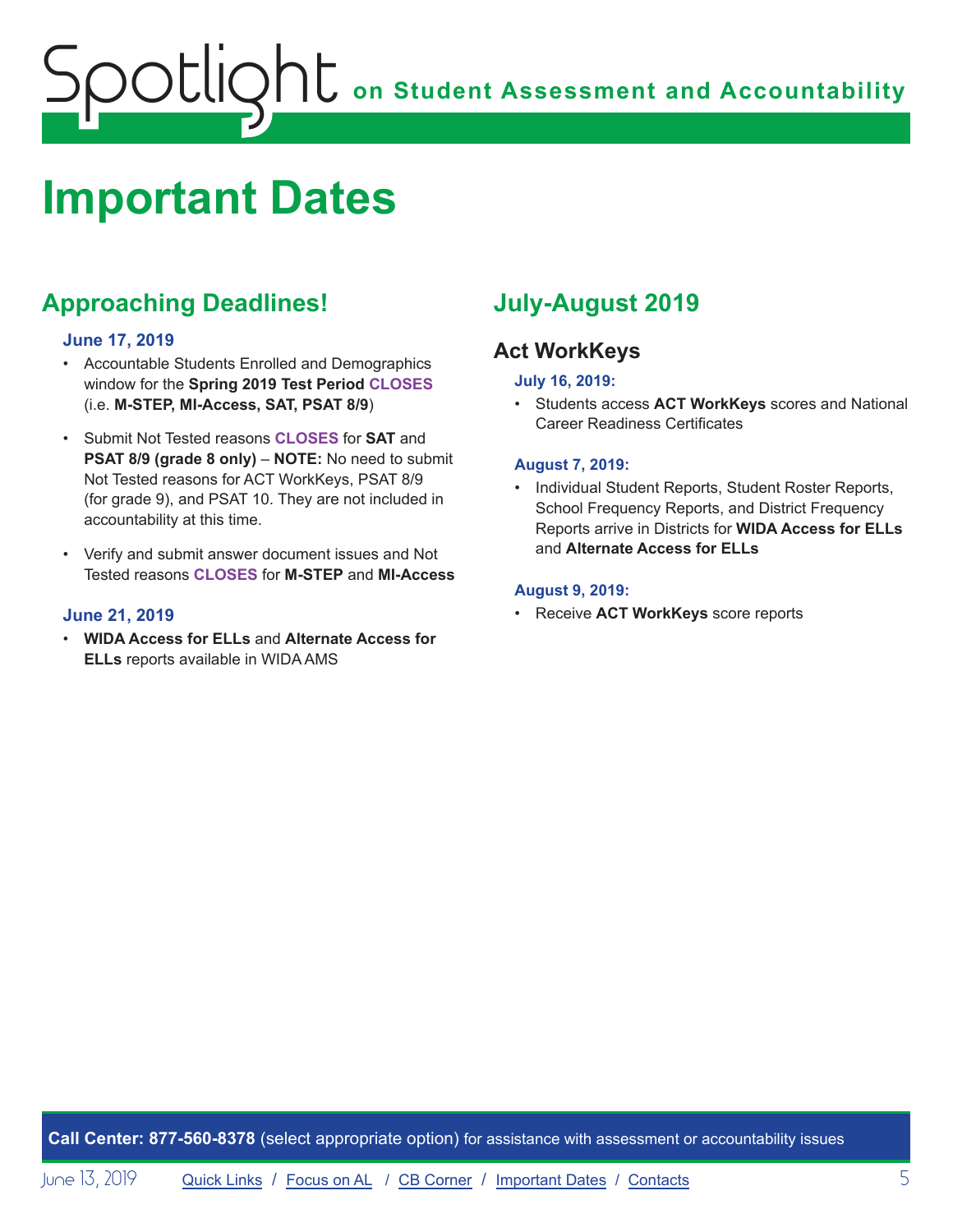# <span id="page-4-0"></span>**on Student Assessment and Accountability** Spotlight

## <span id="page-4-1"></span>**Important Dates**

## **Approaching Deadlines!**

#### **June 17, 2019**

- Accountable Students Enrolled and Demographics window for the **Spring 2019 Test Period CLOSES** (i.e. **M-STEP, MI-Access, SAT, PSAT 8/9**)
- Submit Not Tested reasons **CLOSES** for **SAT** and **PSAT 8/9 (grade 8 only)** – **NOTE:** No need to submit Not Tested reasons for ACT WorkKeys, PSAT 8/9 (for grade 9), and PSAT 10. They are not included in accountability at this time.
- Verify and submit answer document issues and Not Tested reasons **CLOSES** for **M-STEP** and **MI-Access**

#### **June 21, 2019**

• **WIDA Access for ELLs** and **Alternate Access for ELLs** reports available in WIDA AMS

### **July-August 2019**

#### **Act WorkKeys**

#### **July 16, 2019:**

• Students access **ACT WorkKeys** scores and National Career Readiness Certificates

#### **August 7, 2019:**

• Individual Student Reports, Student Roster Reports, School Frequency Reports, and District Frequency Reports arrive in Districts for **WIDA Access for ELLs** and **Alternate Access for ELLs**

#### **August 9, 2019:**

• Receive **ACT WorkKeys** score reports